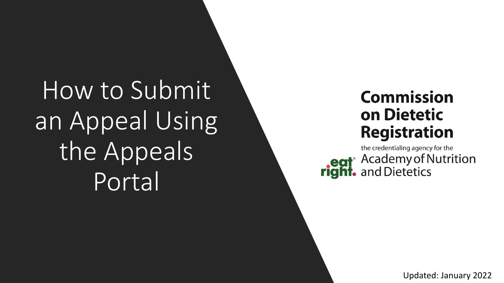How to Submit an Appeal Using the Appeals Portal

# **Commission** on Dietetic **Registration**

the credentialing agency for the eat<sup>®</sup> Academy of Nutrition

Updated: January 2022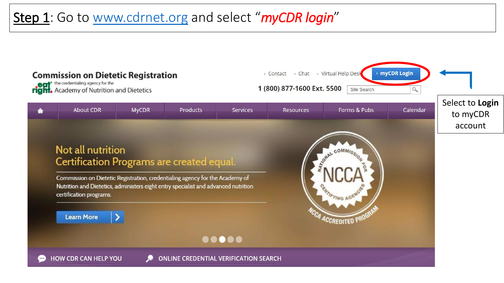# Step 1: Go to [www.cdrnet.org](http://www.cdrnet.org/) and select "myCDR login"

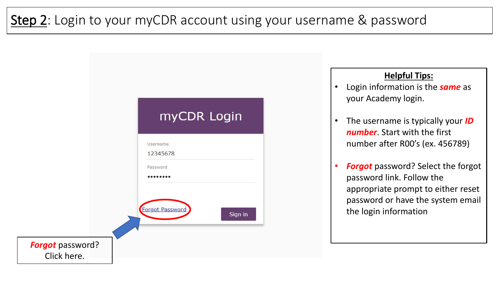# Step 2: Login to your myCDR account using your username & password



### **Helpful Tips:**

- Login information is the *same* as your Academy login.
- The username is typically your *ID number*. Start with the first number after R00's (ex. 456789)
- **Forgot** password? Select the forgot password link. Follow the appropriate prompt to either reset password or have the system email the login information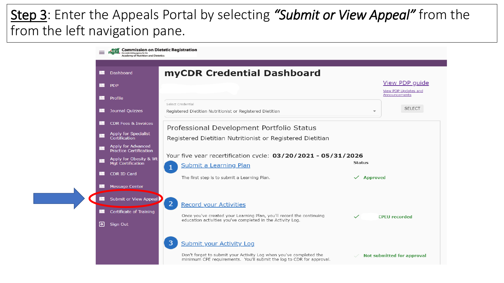# Step 3: Enter the Appeals Portal by selecting *"Submit or View Appeal"* from the from the left navigation pane.

|   | <b>Commission on Dietetic Registration</b><br>he credentialing agency for the<br><b>Academy of Nutrition and Dietetics</b> |                                                                                                                                                                                 |
|---|----------------------------------------------------------------------------------------------------------------------------|---------------------------------------------------------------------------------------------------------------------------------------------------------------------------------|
|   | Dashboard<br>H                                                                                                             | myCDR Credential Dashboard                                                                                                                                                      |
|   | l Hel<br><b>PDP</b>                                                                                                        | View PDP guide<br>View PDP Updates and                                                                                                                                          |
|   | Profile<br>ы                                                                                                               | Announcements                                                                                                                                                                   |
|   | Journal Quizzes<br>IH                                                                                                      | Select Credential<br><b>SELECT</b><br>Registered Dietitian Nutritionist or Registered Dietitian                                                                                 |
|   | IH<br><b>CDR Fees &amp; Invoices</b>                                                                                       | Professional Development Portfolio Status                                                                                                                                       |
|   | Apply for Specialist<br>H<br><b>Certification</b>                                                                          | Registered Dietitian Nutritionist or Registered Dietitian                                                                                                                       |
|   | Apply for Advanced<br>H<br><b>Practice Certification</b>                                                                   |                                                                                                                                                                                 |
|   | Apply for Obesity & Wt<br>n.<br>Mgt Certification                                                                          | Your five year recertification cycle: 03/20/2021 - 05/31/2026<br><b>Status</b><br><b>Submit a Learning Plan</b>                                                                 |
|   | <b>CDR ID Card</b><br>ы                                                                                                    | The first step is to submit a Learning Plan.<br>$\checkmark$ Approved                                                                                                           |
|   | <b>Message Center</b>                                                                                                      |                                                                                                                                                                                 |
|   | <b>In</b> Submit or View Appeal                                                                                            | 2 <sup>1</sup><br><b>Record your Activities</b>                                                                                                                                 |
|   | Æ<br>Certificate of Training                                                                                               | Once you've created your Learning Plan, you'll record the continuing<br>$\checkmark$<br><b>CPFU</b> recorded                                                                    |
| Э | Sign Out                                                                                                                   | education activities you've completed in the Activity Log.                                                                                                                      |
|   |                                                                                                                            | 3<br><b>Submit your Activity Log</b>                                                                                                                                            |
|   |                                                                                                                            | Don't forget to submit your Activity Log when you've completed the<br><b>Not submitted for approval</b><br>minimum CPE requirements. You'll submit the log to CDR for approval. |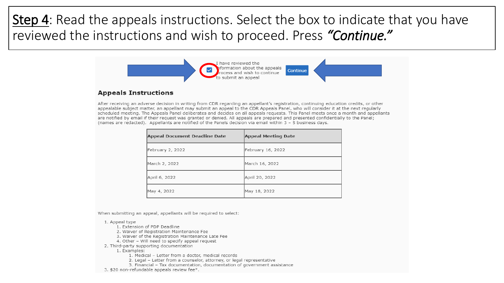# Step 4: Read the appeals instructions. Select the box to indicate that you have reviewed the instructions and wish to proceed. Press *"Continue."*



After receiving an adverse decision in writing from CDR regarding an appellant's registration, continuing education credits, or other appealable subject matter, an appellant may submit an appeal to the CDR Appeals Panel, who will consider it at the next regularly scheduled meeting. The Appeals Panel deliberates and decides on all appeals requests. This Panel meets once a month and appellants are notified by email if their request was granted or denied. All appeals are prepared and presented confidentially to the Panel; (names are redacted). Appellants are notified of the Panels decision via email within 3 - 5 business days.

| Appeal Document Deadline Date | <b>Appeal Meeting Date</b> |
|-------------------------------|----------------------------|
| February 2, 2022              | February 16, 2022          |
| March 2, 2022                 | March 16, 2022             |
| April 6, 2022                 | April 20, 2022             |
| May 4, 2022                   | May 18, 2022               |

When submitting an appeal, appellants will be required to select:

#### 1. Appeal type

- 1. Extension of PDP Deadline
- 2. Waiver of Registration Maintenance Fee
- 3. Waiver of the Registration Maintenance Late Fee
- 4. Other Will need to specify appeal request
- 2. Third-party supporting documentation
	- 1. Examples:
		- 1. Medical Letter from a doctor, medical records
		- 2. Legal Letter from a counselor, attorney, or legal representative
		- 3. Financial Tax documentation, documentation of government assistance
- 3. \$20 non-refundable appeals review fee\*.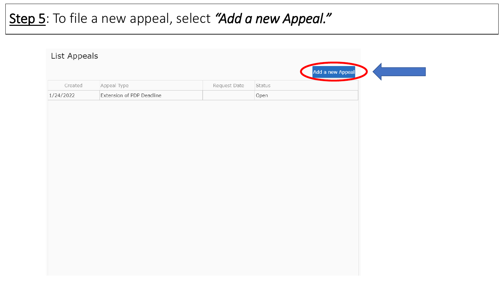# Step 5: To file a new appeal, select *"Add a new Appeal."*

| Extension of PDP Deadline<br>Open | Created   | Appeal Type | Request Date | Status |  |
|-----------------------------------|-----------|-------------|--------------|--------|--|
|                                   | 1/24/2022 |             |              |        |  |
|                                   |           |             |              |        |  |
|                                   |           |             |              |        |  |
|                                   |           |             |              |        |  |
|                                   |           |             |              |        |  |
|                                   |           |             |              |        |  |
|                                   |           |             |              |        |  |
|                                   |           |             |              |        |  |
|                                   |           |             |              |        |  |
|                                   |           |             |              |        |  |
|                                   |           |             |              |        |  |
|                                   |           |             |              |        |  |
|                                   |           |             |              |        |  |
|                                   |           |             |              |        |  |
|                                   |           |             |              |        |  |
|                                   |           |             |              |        |  |
|                                   |           |             |              |        |  |
|                                   |           |             |              |        |  |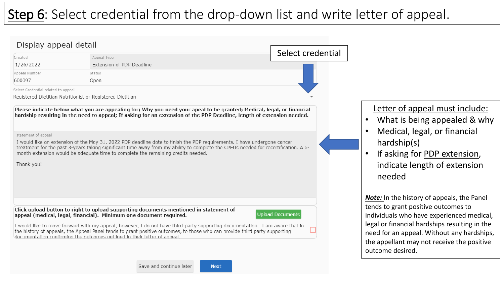# Step 6: Select credential from the drop-down list and write letter of appeal.



**Next**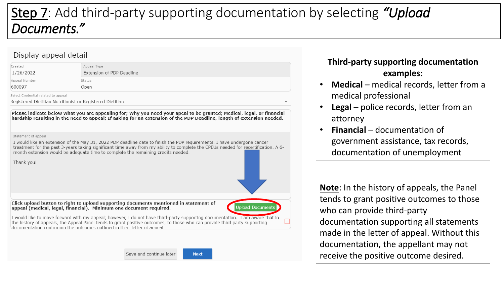# Step 7: Add third-party supporting documentation by selecting *"Upload Documents."*

### Display appeal detail

| Created                             | Appeal Type               |  |
|-------------------------------------|---------------------------|--|
| 1/26/2022                           | Extension of PDP Deadline |  |
| Appeal Number                       | Status                    |  |
| 600097                              | Open                      |  |
| Select Credential related to anneal |                           |  |

Registered Dietitian Nutritionist or Registered Dietitian

Please indicate below what you are appealing for; Why you need your apeal to be granted; Medical, legal, or financial hardship resulting in the need to appeal: If asking for an extension of the PDP Deadline, length of extension needed,

statement of appeal

Thank you!

I would like an extension of the May 31, 2022 PDP deadline date to finish the PDP requirements. I have undergone cancer treatment for the past 3-years taking significant time away from my ability to complete the CPEUs needed for recertification. A 6month extension would be adequate time to complete the remaining credits needed.

Click upload button to right to upload supporting documents mentioned in statement of appeal (medical, legal, financial). Minimum one document required.

I would like to move forward with my appeal; however, I do not have third-party supporting documentation. I am aware that in the history of appeals, the Appeal Panel tends to grant positive outcomes, to those who can provide third party supporting documentation confirming the outcomes outlined in their letter of anneal

Save and continue later

**Next** 

**Upload Documen** 

## **Third-party supporting documentation examples:**

- **Medical** medical records, letter from a medical professional
- **Legal** police records, letter from an attorney
- **Financial**  documentation of government assistance, tax records, documentation of unemployment

**Note**: In the history of appeals, the Panel tends to grant positive outcomes to those who can provide third-party documentation supporting all statements made in the letter of appeal. Without this documentation, the appellant may not receive the positive outcome desired.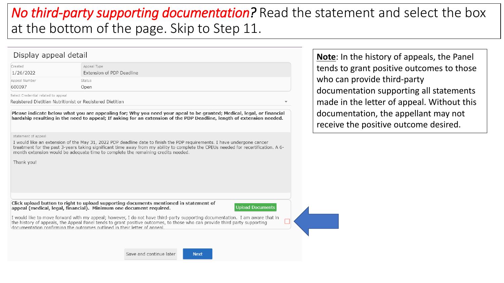# *No third-party supporting documentation?* Read the statement and select the box at the bottom of the page. Skip to Step 11.

#### Display appeal detail

| Created                             | Appeal Type               |
|-------------------------------------|---------------------------|
| 1/26/2022                           | Extension of PDP Deadline |
| Appeal Number                       | Status                    |
| 600097                              | Open                      |
| Select Credential related to appeal |                           |

Registered Dietitian Nutritionist or Registered Dietitian

Please indicate below what you are appealing for; Why you need your apeal to be granted; Medical, legal, or financial hardship resulting in the need to appeal: If asking for an extension of the PDP Deadline, length of extension needed,

statement of appeal

I would like an extension of the May 31, 2022 PDP deadline date to finish the PDP requirements. I have undergone cancer treatment for the past 3-years taking significant time away from my ability to complete the CPEUs needed for recertification. A 6month extension would be adequate time to complete the remaining credits needed.

Thank you!

Click upload button to right to upload supporting documents mentioned in statement of appeal (medical, legal, financial). Minimum one document required.

**Upload Documents** 

I would like to move forward with my appeal; however, I do not have third-party supporting documentation. I am aware that in the history of appeals, the Appeal Panel tends to grant positive outcomes, to those who can provide third party supporting documentation confirming the outcomes outlined in their letter of anneal

Save and continue later

**Next** 

**Note**: In the history of appeals, the Panel tends to grant positive outcomes to those who can provide third-party documentation supporting all statements made in the letter of appeal. Without this documentation, the appellant may not receive the positive outcome desired.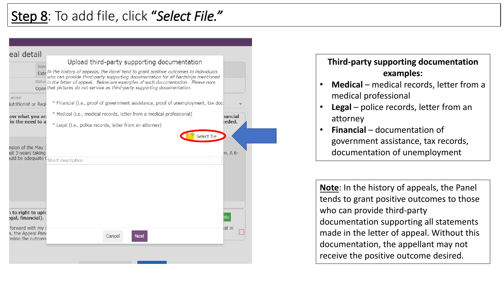

### **Third-party supporting documentation examples:**

- **Medical** medical records, letter from a medical professional
- **Legal** police records, letter from an attorney
- **Financial**  documentation of government assistance, tax records, documentation of unemployment

**Note**: In the history of appeals, the Panel tends to grant positive outcomes to those who can provide third-party documentation supporting all statements made in the letter of appeal. Without this documentation, the appellant may not receive the positive outcome desired.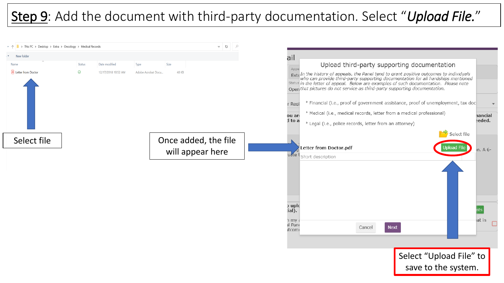# Step 9: Add the document with third-party documentation. Select "*Upload File.*"

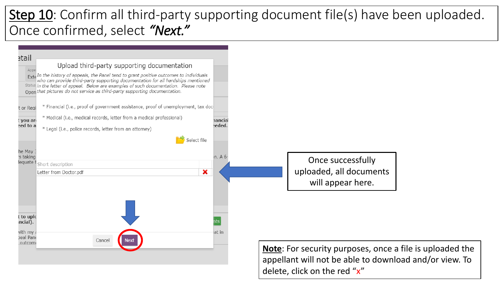# Step 10: Confirm all third-party supporting document file(s) have been uploaded. Once confirmed, select *"Next."*



delete, click on the red "x"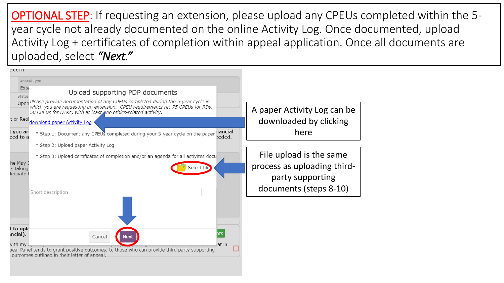OPTIONAL STEP: If requesting an extension, please upload any CPEUs completed within the 5 year cycle not already documented on the online Activity Log. Once documented, upload Activity Log + certificates of completion within appeal application. Once all documents are uploaded, select *"Next."* 

| stan                                                                                                                                                                                                                                  |                                                        |
|---------------------------------------------------------------------------------------------------------------------------------------------------------------------------------------------------------------------------------------|--------------------------------------------------------|
| Appeal Type                                                                                                                                                                                                                           |                                                        |
| Exte<br>Upload supporting PDP documents<br>Status                                                                                                                                                                                     |                                                        |
| Open Please provide documentation of any CPEUs completed during the 5-year cycle in<br>which you are requesting an extension. CPEU requirements re: 75 CPEUs for RDs,<br>50 CPEUs for DTRs, with at least ne ethics-related activity. | A paper Activity Log can be                            |
| t or Regi <sub>download paper Activity Log</sub>                                                                                                                                                                                      | downloaded by clicking                                 |
| hancial<br>t you are<br>* Step 1: Document any CPEUS completed during your 5-year cycle on the paper<br>eded.<br>eed to a                                                                                                             | here                                                   |
| * Step 2: Upload paper Activity Log                                                                                                                                                                                                   |                                                        |
| * Step 3: Upload certificates of completion and/or an agenda for all activites docu<br>he May 3<br>Select file<br>s taking                                                                                                            | File upload is the same<br>process as uploading third- |
| lequate                                                                                                                                                                                                                               | party supporting<br>documents (steps 8-10)             |
| Short description                                                                                                                                                                                                                     |                                                        |
|                                                                                                                                                                                                                                       |                                                        |
| t to uplc<br>ncial).<br>Cancel<br><b>Next</b>                                                                                                                                                                                         |                                                        |
| lat in<br>with mv a<br>peal Panel tends to grant positive outcomes, to those who can provide third party supporting<br>outcomes outlined in their letter of anneal.                                                                   |                                                        |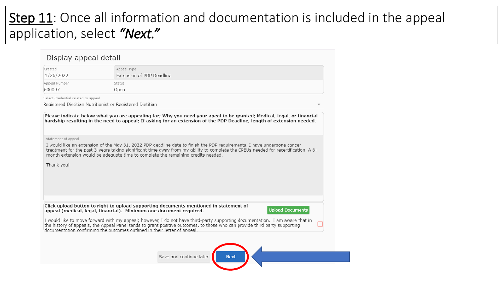# Step 11: Once all information and documentation is included in the appeal application, select *"Next."*

| Created                             | Appeal Type                                                                                                                                                                                                                                                   |
|-------------------------------------|---------------------------------------------------------------------------------------------------------------------------------------------------------------------------------------------------------------------------------------------------------------|
| 1/26/2022                           | Extension of PDP Deadline                                                                                                                                                                                                                                     |
| Appeal Number                       | Status                                                                                                                                                                                                                                                        |
| 600097                              | Open                                                                                                                                                                                                                                                          |
| Select Credential related to appeal |                                                                                                                                                                                                                                                               |
|                                     | Registered Dietitian Nutritionist or Registered Dietitian                                                                                                                                                                                                     |
| statement of appeal                 |                                                                                                                                                                                                                                                               |
|                                     | I would like an extension of the May 31, 2022 PDP deadline date to finish the PDP requirements. I have undergone cancer<br>treatment for the past 3-years taking significant time away from my ability to complete the CPEUs needed for recertification. A 6- |
|                                     |                                                                                                                                                                                                                                                               |
|                                     | month extension would be adequate time to complete the remaining credits needed.                                                                                                                                                                              |
| Thank you!                          |                                                                                                                                                                                                                                                               |
|                                     |                                                                                                                                                                                                                                                               |
|                                     |                                                                                                                                                                                                                                                               |
|                                     |                                                                                                                                                                                                                                                               |
|                                     |                                                                                                                                                                                                                                                               |
|                                     | Click upload button to right to upload supporting documents mentioned in statement of<br><b>Upload Documents</b><br>appeal (medical, legal, financial). Minimum one document required.                                                                        |
|                                     | I would like to move forward with my appeal; however, I do not have third-party supporting documentation. I am aware that in<br>the history of appeals, the Appeal Panel tends to grant positive outcomes, to those who can provide third party supporting    |
|                                     | documentation confirming the outcomes outlined in their letter of appeal.                                                                                                                                                                                     |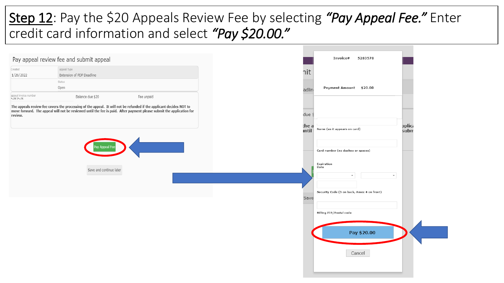# Step 12: Pay the \$20 Appeals Review Fee by selecting *"Pay Appeal Fee."* Enter credit card information and select *"Pay \$20.00."*

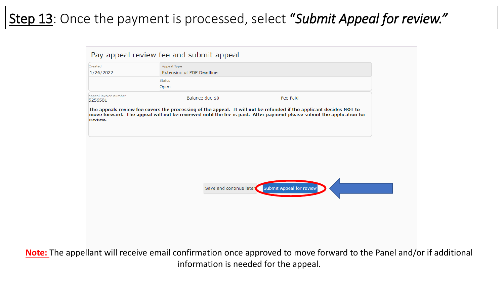# Step 13: Once the payment is processed, select "*Submit Appeal for review."*

| Pay appeal review fee and submit appeal |                                                 |                                                  |  |
|-----------------------------------------|-------------------------------------------------|--------------------------------------------------|--|
| Created<br>1/26/2022                    | Appeal Type<br><b>Extension of PDP Deadline</b> |                                                  |  |
|                                         | <b>Status</b><br>Open                           |                                                  |  |
| appeal invoice number<br>5256581        | Balance due \$0                                 | Fee Paid                                         |  |
|                                         |                                                 |                                                  |  |
|                                         |                                                 | Save and continue later Submit Appeal for review |  |
|                                         |                                                 |                                                  |  |

**Note:** The appellant will receive email confirmation once approved to move forward to the Panel and/or if additional information is needed for the appeal.